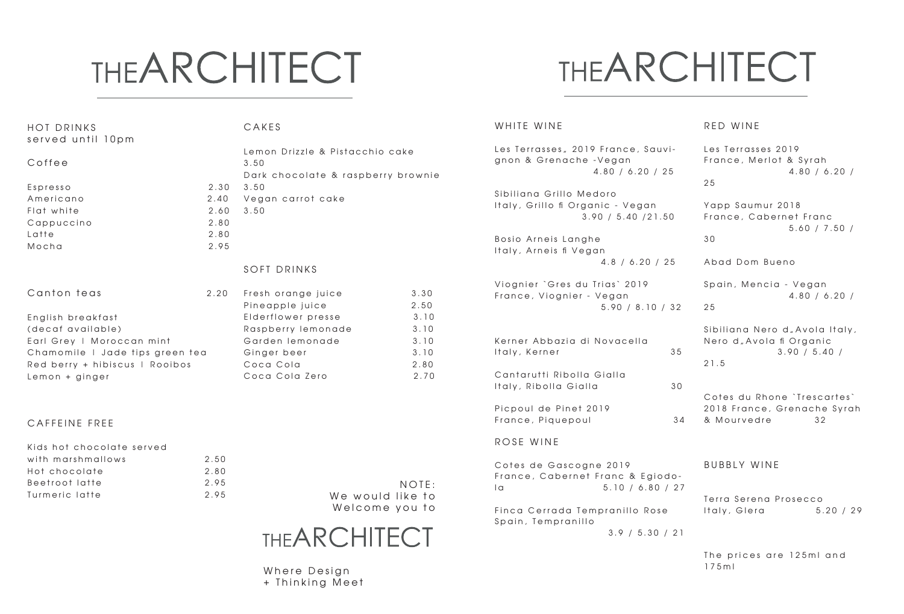# **THEARCHITECT**

#### **THEARCHITECT**

175ml

| <b>HOT DRINKS</b><br>served until 10pm |      | CAKES                              |                | WHITE WINE                         |                 | RED WINE                             |                        |  |
|----------------------------------------|------|------------------------------------|----------------|------------------------------------|-----------------|--------------------------------------|------------------------|--|
|                                        |      | Lemon Drizzle & Pistacchio cake    |                | Les Terrasses, 2019 France, Sauvi- |                 | Les Terrasses 2019                   |                        |  |
| Coffee                                 |      | 3.50                               |                | gnon & Grenache - Vegan            |                 |                                      | France, Merlot & Syrah |  |
|                                        |      | Dark chocolate & raspberry brownie |                | 4.80 / 6.20 / 25                   |                 |                                      | 4.80 / 6.20 /          |  |
| Espresso                               | 2.30 | 3.50                               |                |                                    |                 | 25                                   |                        |  |
| Americano                              | 2.40 | Vegan carrot cake                  |                | Sibiliana Grillo Medoro            |                 |                                      |                        |  |
| Flat white                             | 2.60 | 3.50                               |                | Italy, Grillo fi Organic - Vegan   |                 | Yapp Saumur 2018                     |                        |  |
| Cappuccino                             | 2.80 |                                    |                | 3.90 / 5.40 / 21.50                |                 | France, Cabernet Franc               |                        |  |
| Latte                                  | 2.80 |                                    |                |                                    |                 |                                      | 5.60 / 7.50 /          |  |
| Mocha                                  | 2.95 |                                    |                | Bosio Arneis Langhe                |                 | 30                                   |                        |  |
|                                        |      |                                    |                | Italy, Arneis fi Vegan             |                 |                                      |                        |  |
|                                        |      | SOFT DRINKS                        |                | 4.8 / 6.20 / 25                    |                 | Abad Dom Bueno                       |                        |  |
|                                        |      |                                    |                | Viognier `Gres du Trias` 2019      |                 | Spain, Mencia - Vegan                |                        |  |
| Canton teas                            | 2.20 | Fresh orange juice                 | 3.30           | France, Viognier - Vegan           |                 |                                      | 4.80 / 6.20 /          |  |
|                                        |      | Pineapple juice                    | 2.50           | 5.90 / 8.10 / 32                   |                 | 25                                   |                        |  |
| English breakfast                      |      | Elderflower presse                 | 3.10           |                                    |                 |                                      |                        |  |
| (decaf available)                      |      | Raspberry lemonade                 | 3.10           |                                    |                 | Sibiliana Nero d "Avola Italy,       |                        |  |
| Earl Grey   Moroccan mint              |      | Garden lemonade                    | 3.10           | Kerner Abbazia di Novacella        |                 | Nero d <sub>"</sub> Avola fi Organic |                        |  |
| Chamomile I Jade tips green tea        |      | Ginger beer                        | 3.10           | Italy, Kerner                      | 35              |                                      | 3.90 / 5.40 /          |  |
| Red berry + hibiscus   Rooibos         |      | Coca Cola                          | 2.80           |                                    |                 | 21.5                                 |                        |  |
| Lemon + ginger                         |      | Coca Cola Zero                     | 2.70           | Cantarutti Ribolla Gialla          |                 |                                      |                        |  |
|                                        |      |                                    |                | Italy, Ribolla Gialla              | 30              | Cotes du Rhone `Trescartes`          |                        |  |
|                                        |      |                                    |                | Picpoul de Pinet 2019              |                 | 2018 France, Grenache Syrah          |                        |  |
|                                        |      |                                    |                | France, Piquepoul                  | 34              | & Mourvedre                          | 32                     |  |
| CAFFEINE FREE                          |      |                                    |                |                                    |                 |                                      |                        |  |
| Kids hot chocolate served              |      |                                    |                | ROSE WINE                          |                 |                                      |                        |  |
| with marshmallows                      | 2.50 |                                    |                |                                    |                 |                                      |                        |  |
| Hot chocolate                          | 2.80 |                                    |                | Cotes de Gascogne 2019             |                 | <b>BUBBLY WINE</b>                   |                        |  |
| Beetroot latte                         | 2.95 |                                    | NOTF:          | France, Cabernet Franc & Egiodo-   |                 |                                      |                        |  |
| Turmeric latte                         | 2.95 | We would like to                   |                | 5.10 / 6.80 / 27<br>  <sub>a</sub> |                 | Terra Serena Prosecco                |                        |  |
|                                        |      |                                    | Welcome you to | Finca Cerrada Tempranillo Rose     |                 | Italy, Glera                         | 5.20 / 29              |  |
|                                        |      |                                    |                | Spain, Tempranillo                 |                 |                                      |                        |  |
|                                        |      | <b>THEARCHITECT</b>                |                |                                    | 3.9 / 5.30 / 21 |                                      |                        |  |
|                                        |      |                                    |                |                                    |                 |                                      |                        |  |
|                                        |      |                                    |                |                                    |                 | The prices are 125ml and             |                        |  |

Where Design + Thinking Meet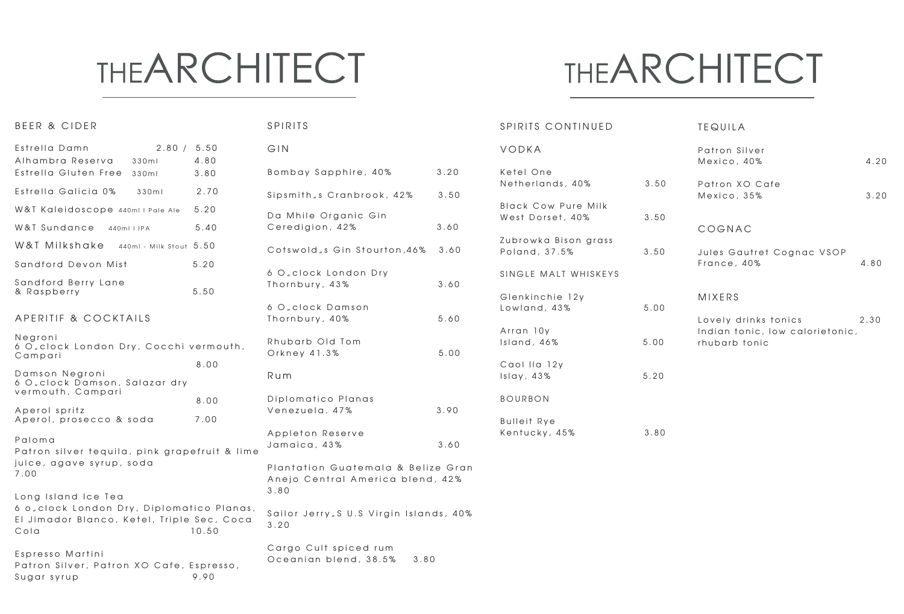#### **THEARCHITECT**

#### **THEARCHITECT**

| BEER & CIDER                                                                                       |       | SPIRITS                                                                |      | SPIRITS CONTINUED                     |      | <b>TEQUILA</b>                                   |      |
|----------------------------------------------------------------------------------------------------|-------|------------------------------------------------------------------------|------|---------------------------------------|------|--------------------------------------------------|------|
| Estrella Damn<br>2.80 / 5.50<br>Alhambra Reserva<br>330m                                           | 4.80  | GIN                                                                    |      | VODKA                                 |      | Patron Silver<br>Mexico, 40%                     | 4.20 |
| Estrella Gluten Free 330ml                                                                         | 3.80  | Bombay Sapphire, 40%                                                   | 3.20 | Ketel One                             |      |                                                  |      |
| Estrella Galicia 0%<br>330ml                                                                       | 2.70  | Sipsmith <sub>"s</sub> Cranbrook, 42%                                  | 3.50 | Netherlands, 40%                      | 3.50 | Patron XO Cafe<br>Mexico, 35%                    | 3.20 |
| W&T Kaleidoscope 440ml   Pale Ale                                                                  | 5.20  | Da Mhile Organic Gin                                                   |      | <b>Black Cow Pure Milk</b>            |      |                                                  |      |
| W&T Sundance 440mllIPA                                                                             | 5.40  | Ceredigion, 42%                                                        | 3.60 | West Dorset, 40%                      | 3.50 | COGNAC                                           |      |
| W&T Milkshake 440ml - Milk Stout 5.50                                                              |       | Cotswold s Gin Stourton 46%                                            | 3.60 | Zubrowka Bison grass<br>Poland, 37.5% | 3.50 | Jules Gautret Cognac VSOP                        |      |
| Sandford Devon Mist                                                                                | 5.20  |                                                                        |      |                                       |      | France, 40%                                      | 4.80 |
| Sandford Berry Lane                                                                                | 5.50  | 6 O "clock London Dry<br>Thornbury, 43%                                | 3.60 | SINGLE MALT WHISKEYS                  |      |                                                  |      |
| & Raspberry                                                                                        |       | 6 O clock Damson                                                       |      | Glenkinchie 12y<br>Lowland, 43%       | 5.00 | <b>MIXERS</b>                                    |      |
| APERITIF & COCKTAILS                                                                               |       | Thornbury, 40%                                                         | 5.60 |                                       |      | Lovely drinks tonics                             | 2.30 |
| Nearoni<br>6 O, clock London Dry, Cocchi vermouth,<br>Campari                                      |       | Rhubarb Old Tom<br>Orkney 41.3%                                        | 5.00 | Arran 10y<br>Island, 46%              | 5.00 | Indian tonic, low calorietonic,<br>rhubarb tonic |      |
|                                                                                                    | 8.00  |                                                                        |      | Caol IIa 12y                          |      |                                                  |      |
| Damson Negroni<br>6 O "clock Damson, Salazar dry                                                   |       | Rum                                                                    |      | Islay, $43\%$                         | 5.20 |                                                  |      |
| vermouth, Campari                                                                                  | 8.00  | Diplomatico Planas                                                     |      | <b>BOURBON</b>                        |      |                                                  |      |
| Aperol spritz<br>Aperol, prosecco & soda                                                           | 7.00  | Venezuela, 47%                                                         | 3.90 | <b>Bulleit Rye</b>                    |      |                                                  |      |
| Paloma<br>Patron silver tequila, pink grapefruit & lime                                            |       | Appleton Reserve<br>Jamaica, 43%                                       | 3.60 | Kentucky, 45%                         | 3.80 |                                                  |      |
| juice, agave syrup, soda<br>7.00                                                                   |       | Plantation Guatemala & Belize Gran<br>Anejo Central America blend, 42% |      |                                       |      |                                                  |      |
| Long Island Ice Tea                                                                                |       | 3.80                                                                   |      |                                       |      |                                                  |      |
| 6 o clock London Dry, Diplomatico Planas,<br>El Jimador Blanco, Ketel, Triple Sec, Coca<br>$C$ ola | 10.50 | Sailor Jerry "S U.S Virgin Islands, 40%<br>3.20                        |      |                                       |      |                                                  |      |
| Espresso Martini<br>Patron Silver, Patron XO Cafe, Espresso,<br>Sugar syrup                        | 9.90  | Cargo Cult spiced rum<br>Oceanian blend, 38.5%<br>3.80                 |      |                                       |      |                                                  |      |